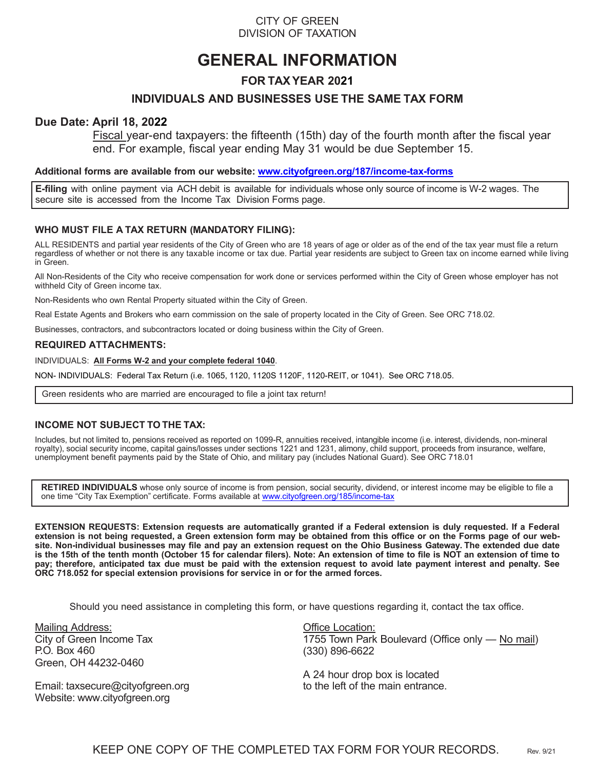# CITY OF GREEN DIVISION OF TAXATION

# **GENERAL INFORMATION**

# **FOR TAX YEAR 2021**

# **INDIVIDUALS AND BUSINESSES USE THE SAME TAX FORM**

# **Due Date: April 18, 2022**

Fiscal year-end taxpayers: the fifteenth (15th) day of the fourth month after the fiscal year end. For example, fiscal year ending May 31 would be due September 15.

#### **Additional forms are available from our website: www.cityofgreen.org/187/income-tax-forms**

**E-filing** with online payment via ACH debit is available for individuals whose only source of income is W-2 wages. The secure site is accessed from the Income Tax Division Forms page.

### **WHO MUST FILE A TAX RETURN (MANDATORY FILING):**

ALL RESIDENTS and partial year residents of the City of Green who are 18 years of age or older as of the end of the tax year must file a return regardless of whether or not there is any taxable income or tax due. Partial year residents are subject to Green tax on income earned while living in Green.

All Non-Residents of the City who receive compensation for work done or services performed within the City of Green whose employer has not withheld City of Green income tax.

Non-Residents who own Rental Property situated within the City of Green.

Real Estate Agents and Brokers who earn commission on the sale of property located in the City of Green. See ORC 718.02.

Businesses, contractors, and subcontractors located or doing business within the City of Green.

#### **REQUIRED ATTACHMENTS:**

INDIVIDUALS: **All Forms W-2 and your complete federal 1040**.

NON- INDIVIDUALS: Federal Tax Return (i.e. 1065, 1120, 1120S 1120F, 1120-REIT, or 1041). See ORC 718.05.

Green residents who are married are encouraged to file a joint tax return!

#### **INCOME NOT SUBJECT TO THE TAX:**

Includes, but not limited to, pensions received as reported on 1099-R, annuities received, intangible income (i.e. interest, dividends, non-mineral royalty), social security income, capital gains/losses under sections 1221 and 1231, alimony, child support, proceeds from insurance, welfare, unemployment benefit payments paid by the State of Ohio, and military pay (includes National Guard). See ORC 718.01

**RETIRED INDIVIDUALS** whose only source of income is from pension, social security, dividend, or interest income may be eligible to file a one time "City Tax Exemption" certificate. Forms available at www.cityofgreen.org/185/income-tax

**EXTENSION REQUESTS: Extension requests are automatically granted if a Federal extension is duly requested. If a Federal extension is not being requested, a Green extension form may be obtained from this office or on the Forms page of our website. Non-individual businesses may file and pay an extension request on the Ohio Business Gateway. The extended due date is the 15th of the tenth month (October 15 for calendar filers). Note: An extension of time to file is NOT an extension of time to pay; therefore, anticipated tax due must be paid with the extension request to avoid late payment interest and penalty. See ORC 718.052 for special extension provisions for service in or for the armed forces.**

Should you need assistance in completing this form, or have questions regarding it, contact the tax office.

Mailing Address: City of Green Income Tax P.O. Box 460 Green, OH 44232-0460

Email: taxsecure@cityofgreen.org Website: www.cityofgreen.org

Office Location: 1755 Town Park Boulevard (Office only — No mail) (330) 896-6622

A 24 hour drop box is located to the left of the main entrance.